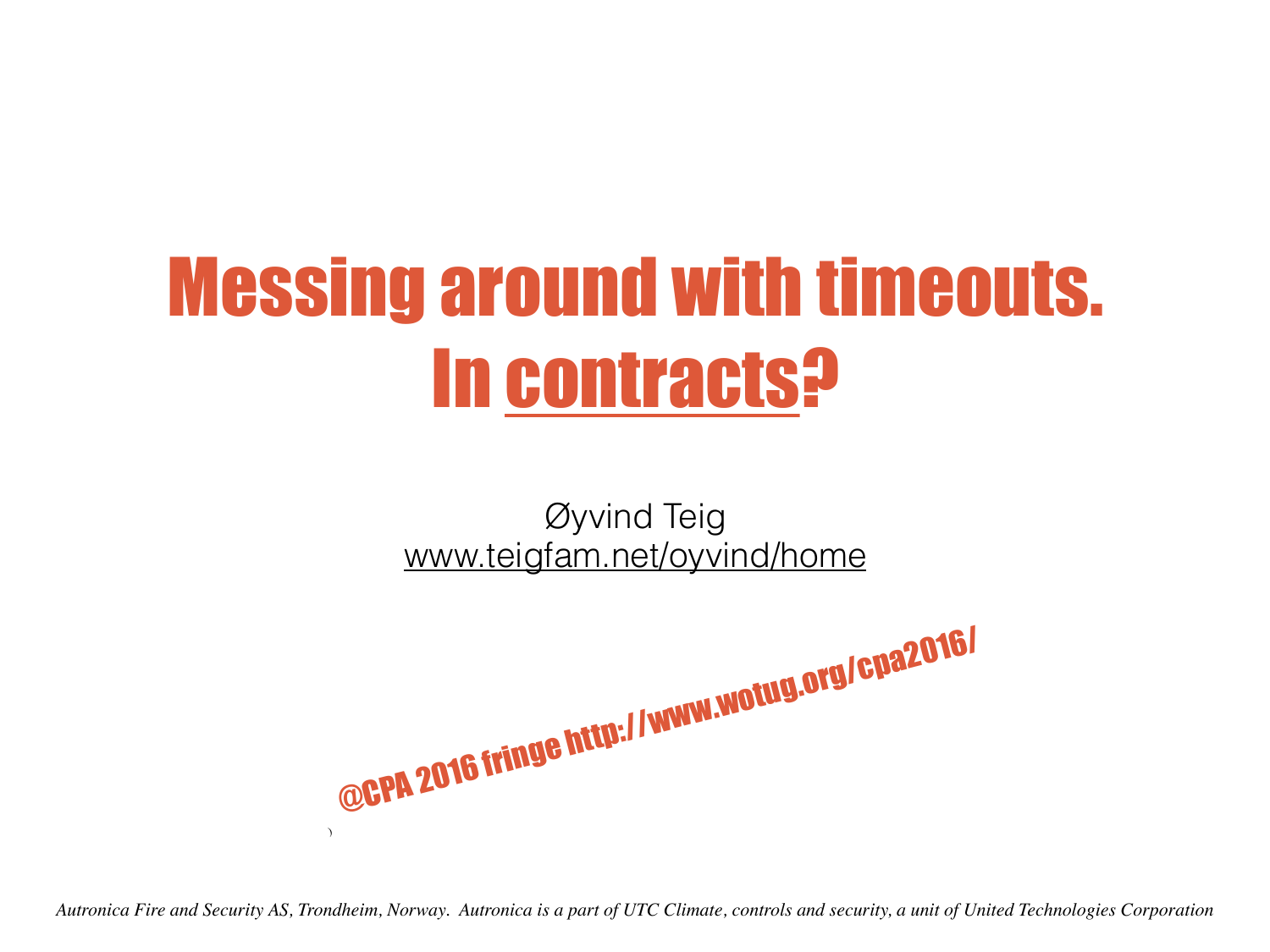# Messing around with timeouts. In contracts?

Øyvind Teig [www.teigfam.net/oyvind/home](http://www.teigfam.net/oyvind/home)

@CPA 2016 fringe http://www.wotug.org/cpa2016/ )

*Autronica Fire and Security AS, Trondheim, Norway. Autronica is a part of UTC Climate, controls and security, a unit of United Technologies Corporation*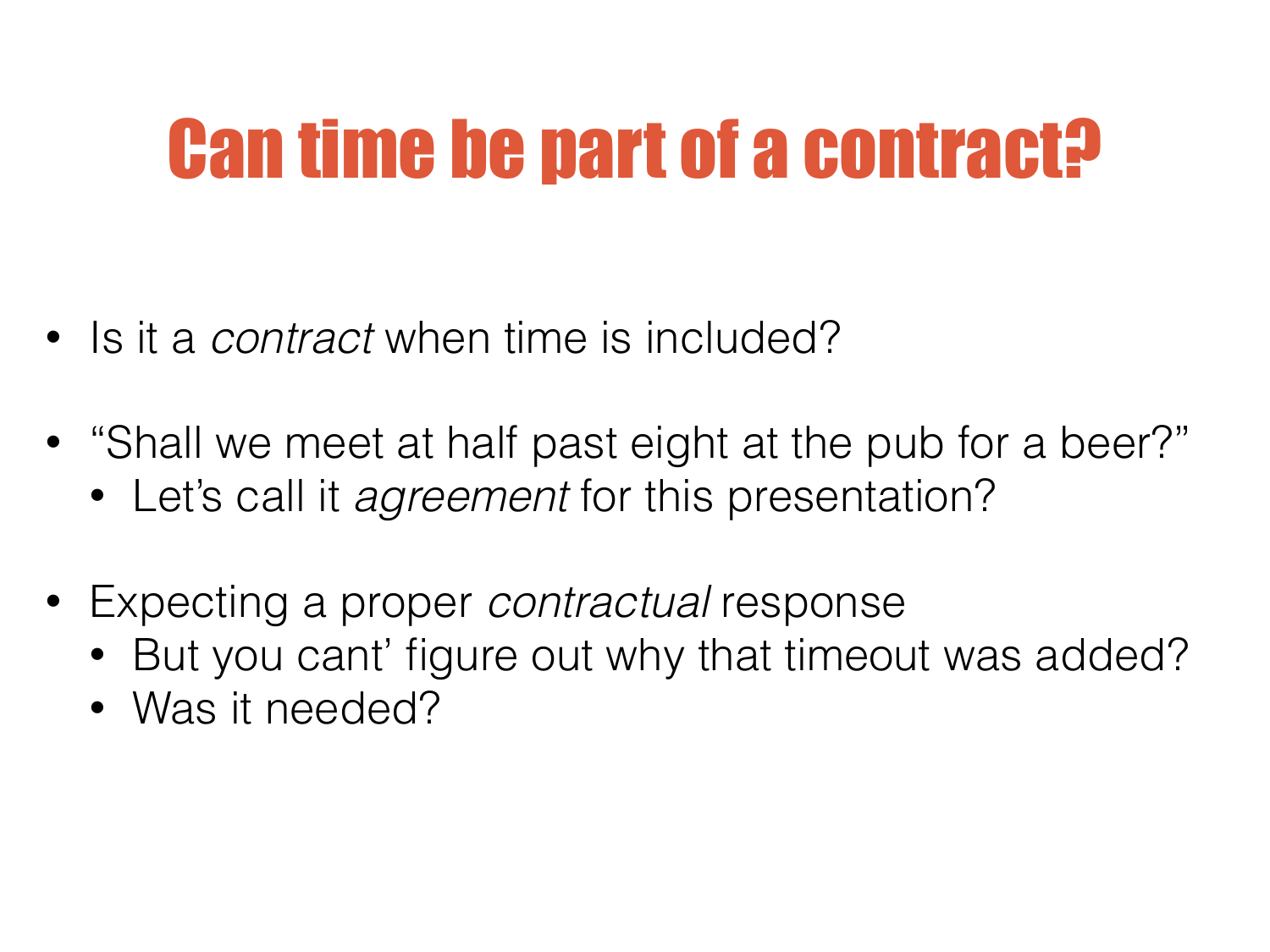## Can time be part of a contract?

- Is it a *contract* when time is included?
- "Shall we meet at half past eight at the pub for a beer?"
	- Let's call it *agreement* for this presentation?
- Expecting a proper *contractual* response
	- But you cant' figure out why that timeout was added?
	- Was it needed?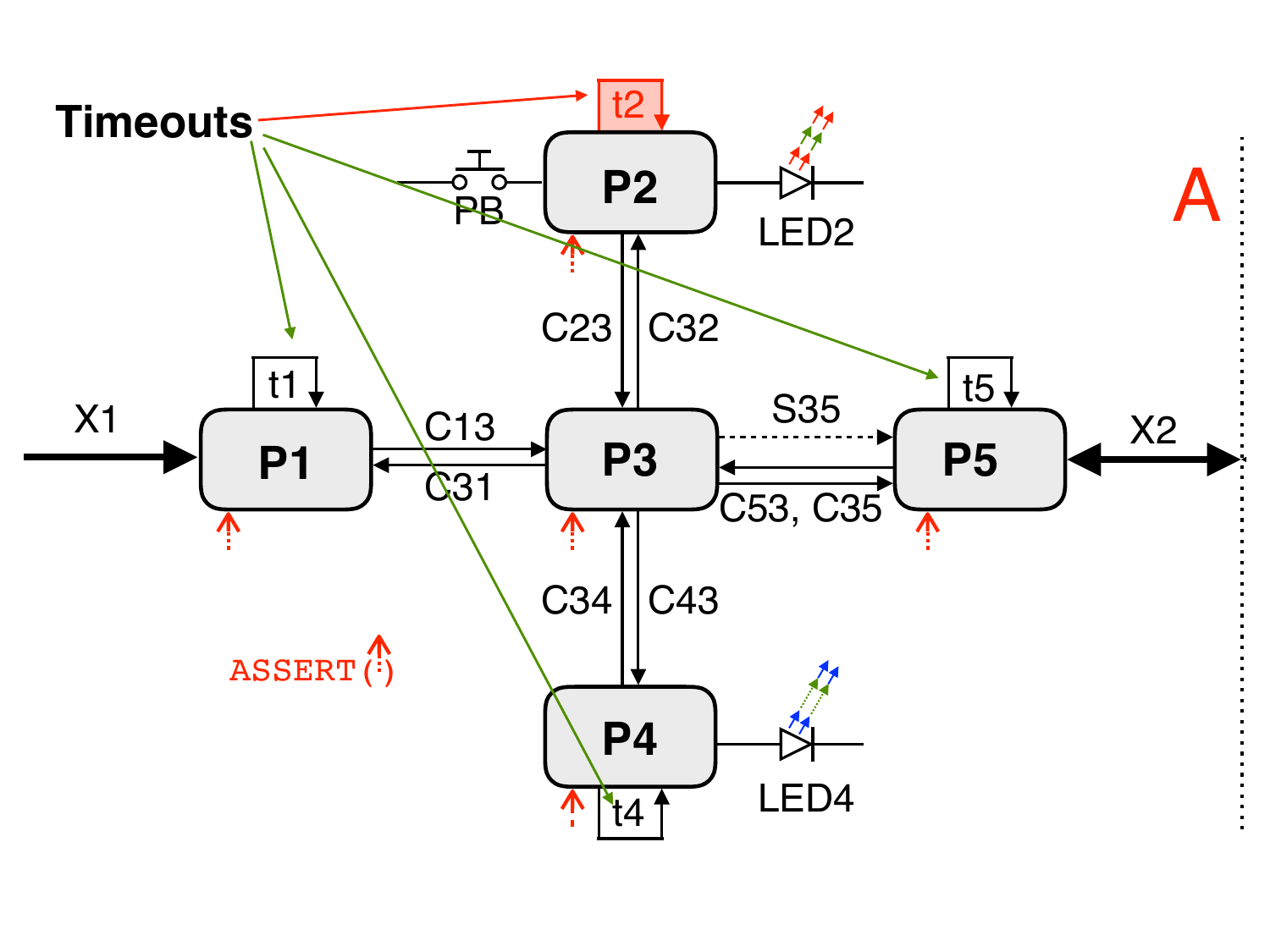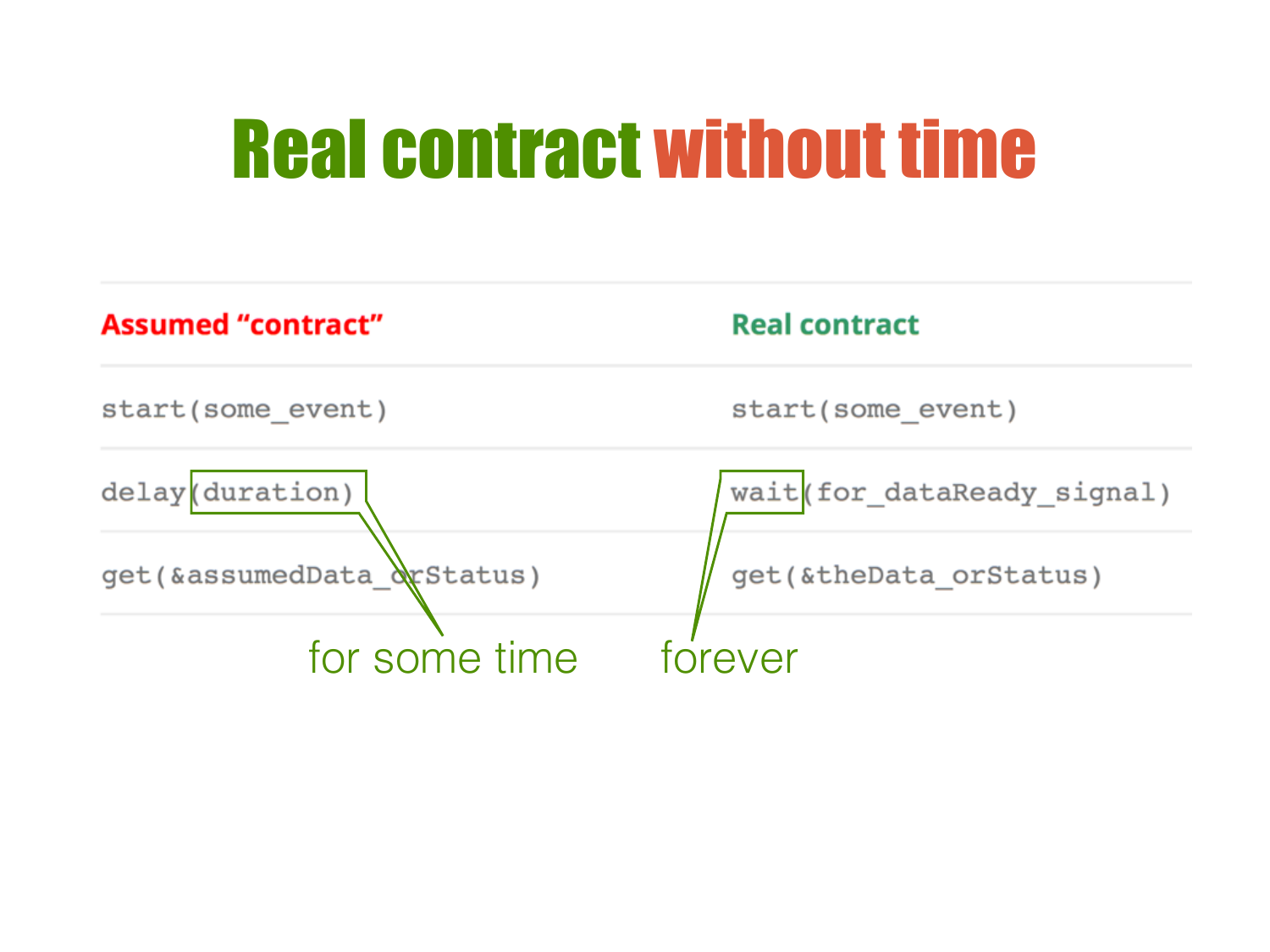#### Real contract without time

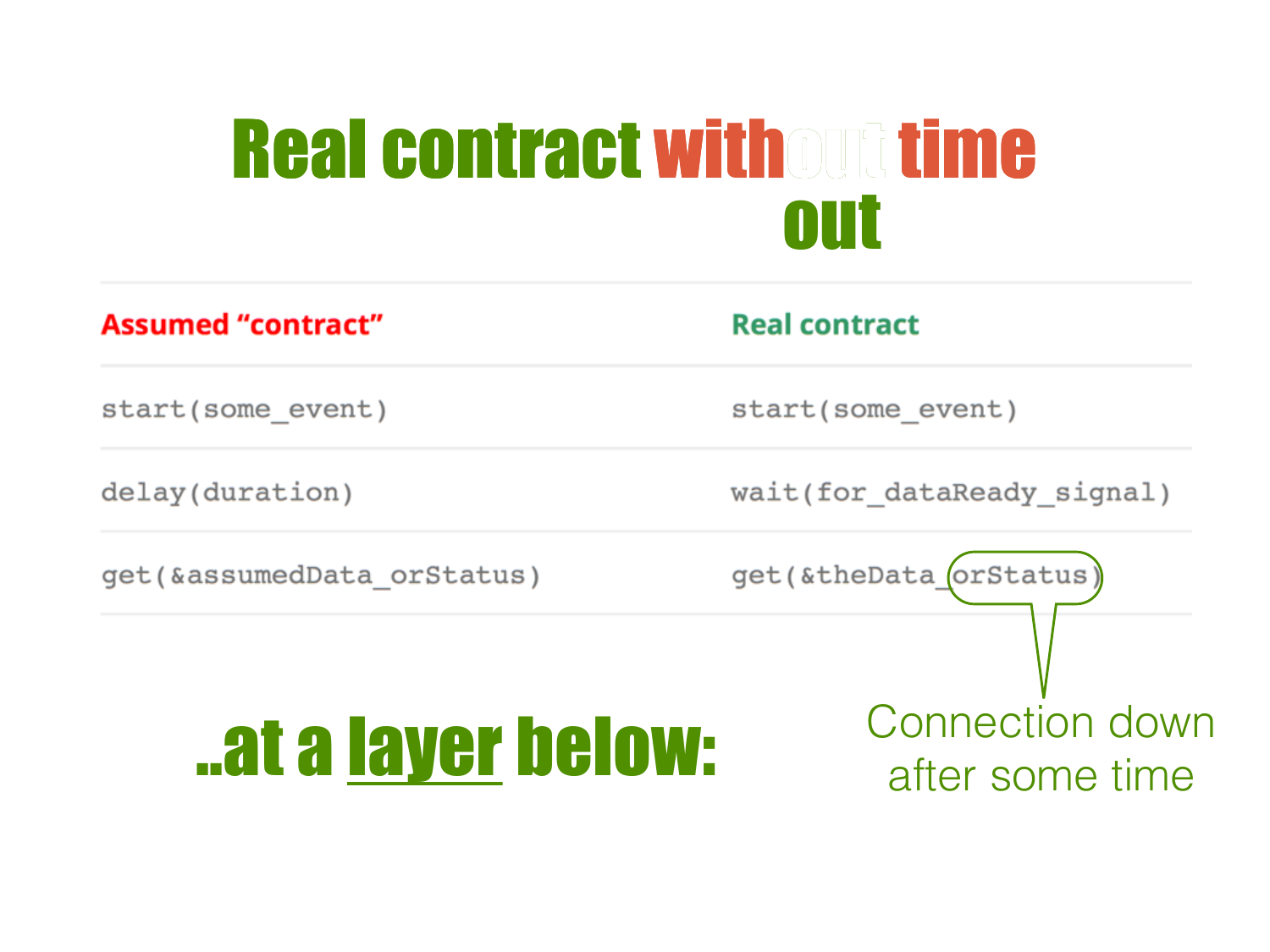#### Real contract without time out

| <b>Assumed "contract"</b>   | <b>Real contract</b>                      |
|-----------------------------|-------------------------------------------|
| start(some event)           | start(some event)                         |
| delay(duration)             | wait(for dataReady signal)                |
| get (&assumedData orStatus) | get(&theData_orStatus)                    |
|                             |                                           |
| at a layer below:           | <b>Connection down</b><br>after some time |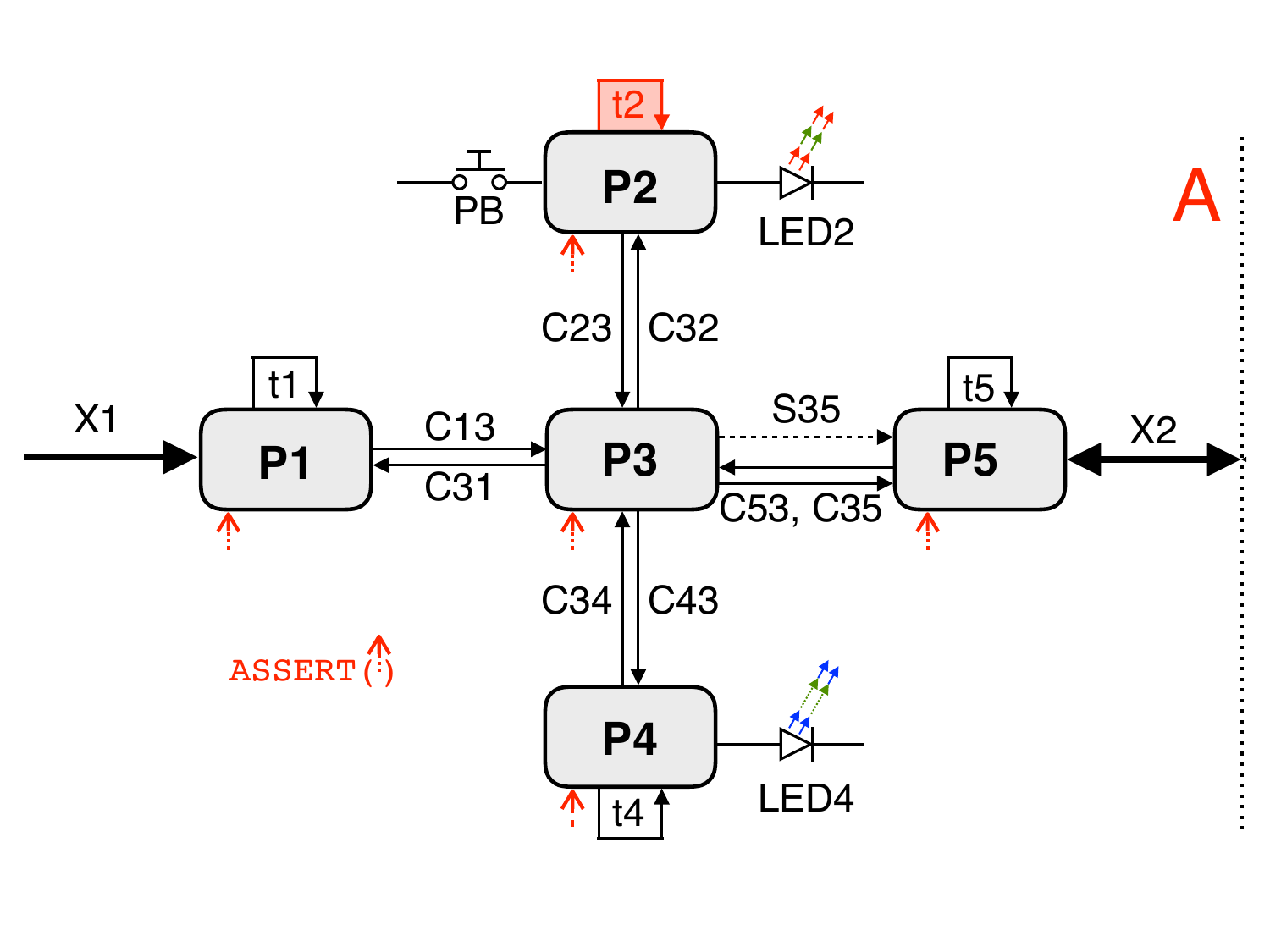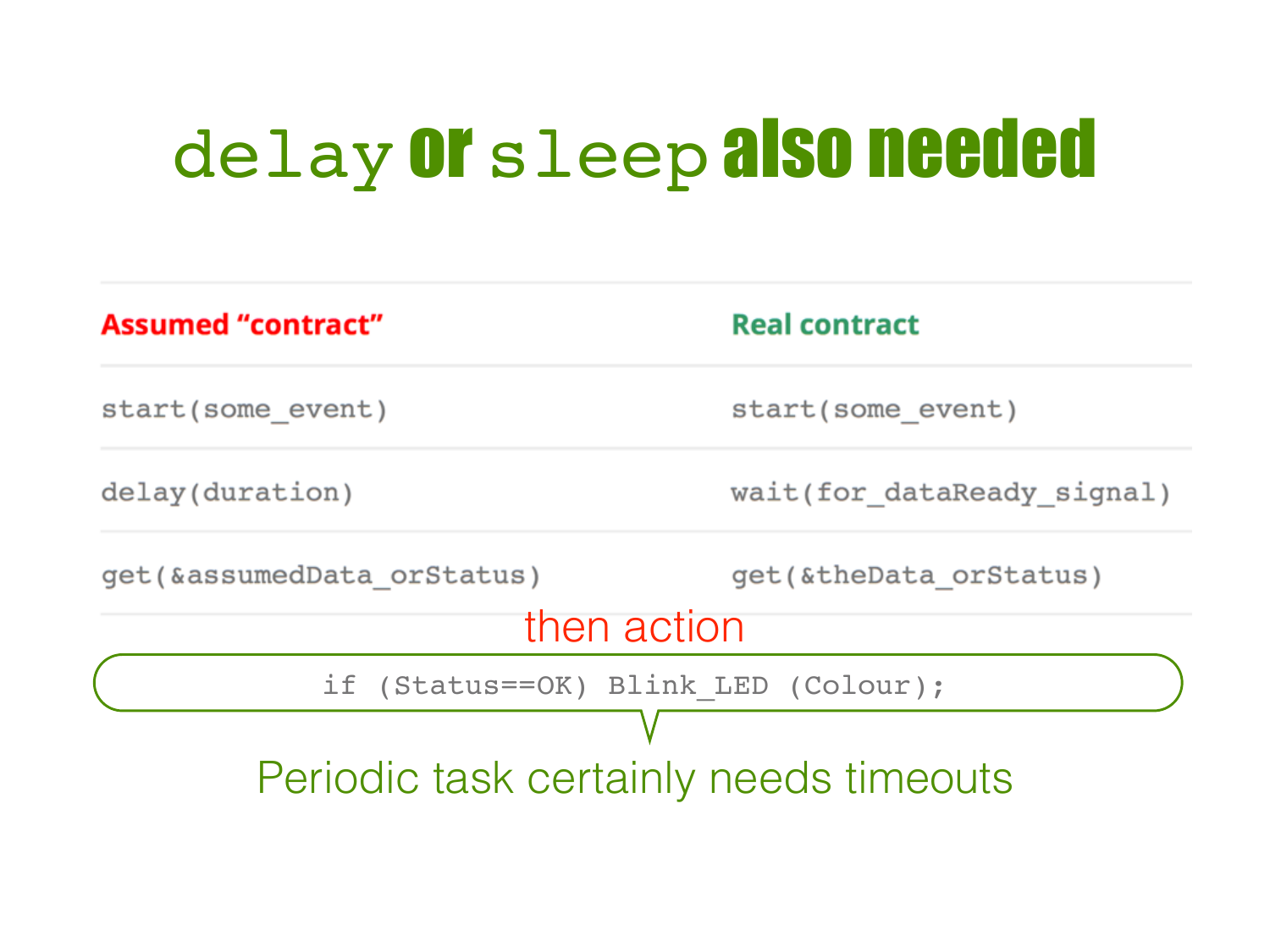# delay Or sleep also needed

| <b>Assumed "contract"</b>              | <b>Real contract</b>       |
|----------------------------------------|----------------------------|
| start (some event)                     | start(some event)          |
| delay(duration)                        | wait(for dataReady signal) |
| get (&assumedData orStatus)            | get (& the Data or Status) |
| then action                            |                            |
| if (Status==OK) Blink LED (Colour);    |                            |
|                                        |                            |
| Periodic task certainly needs timeouts |                            |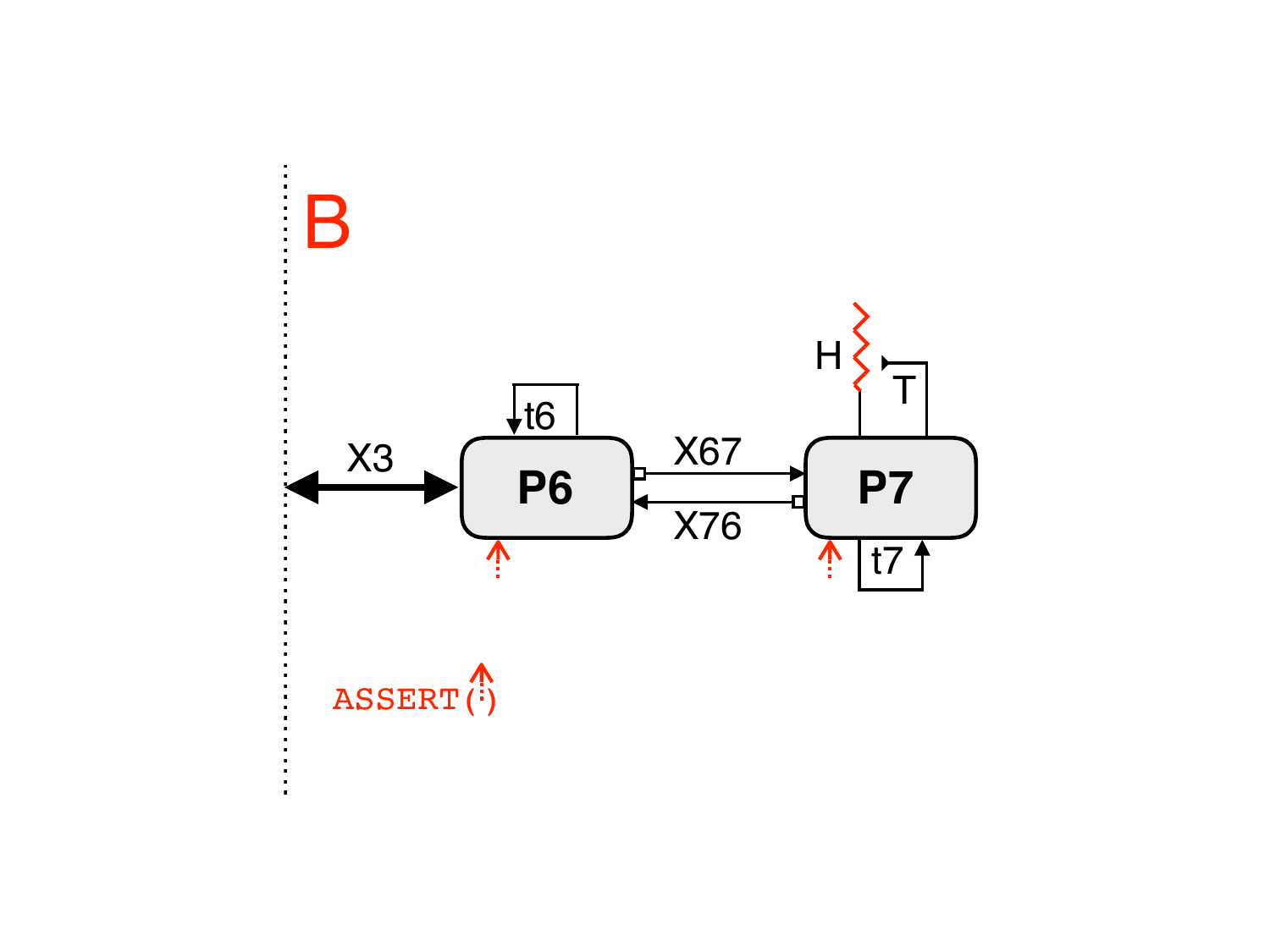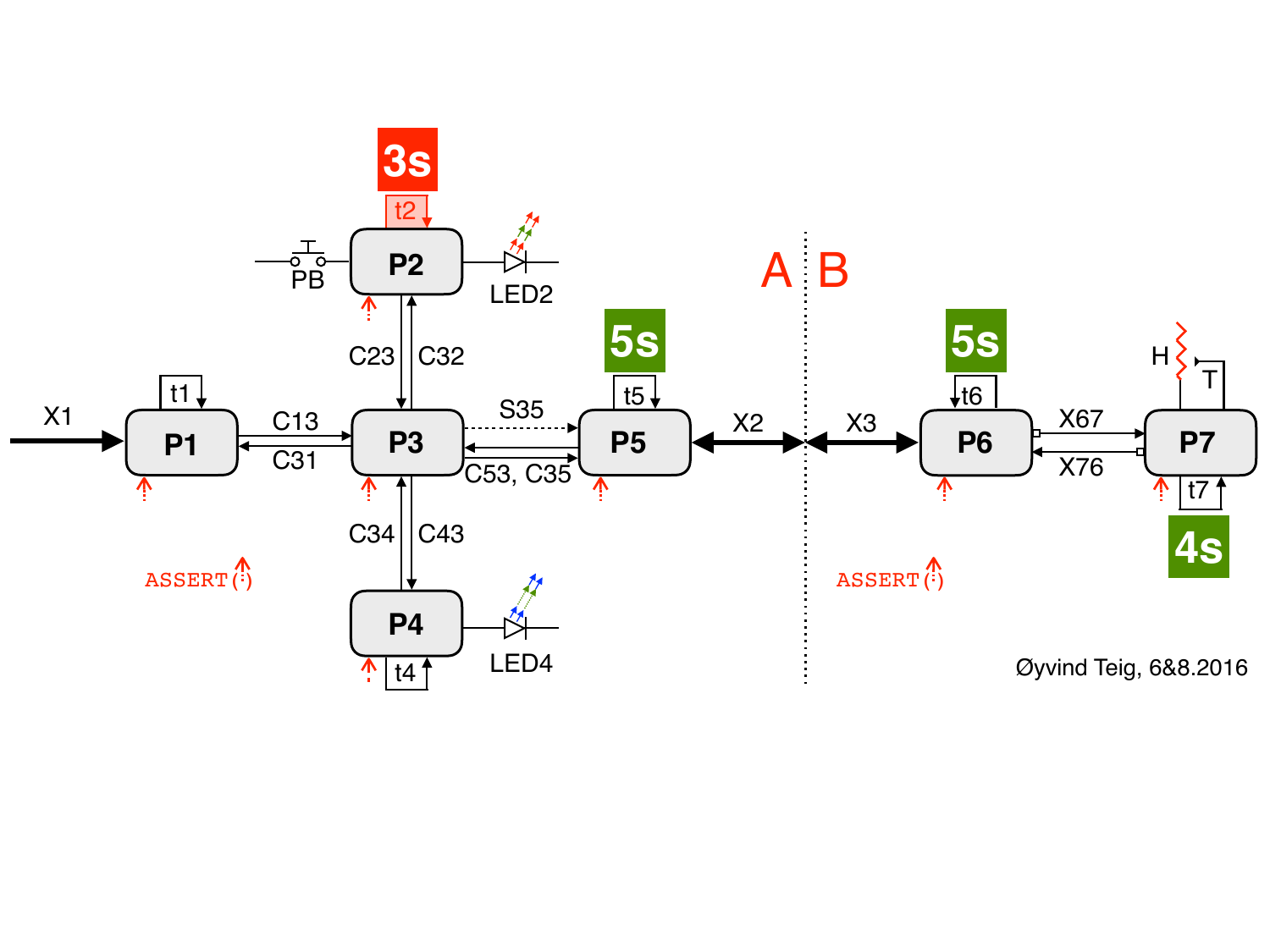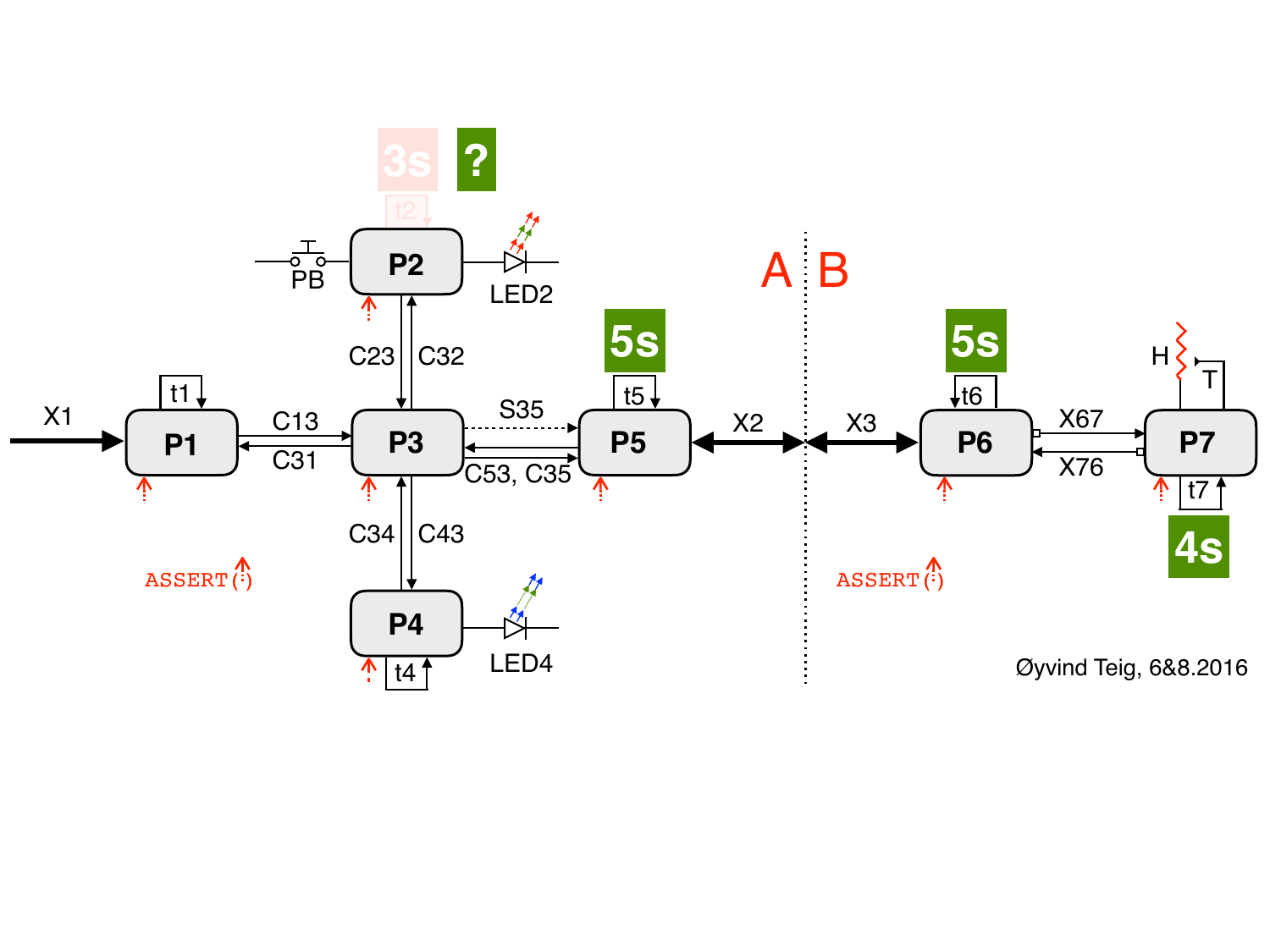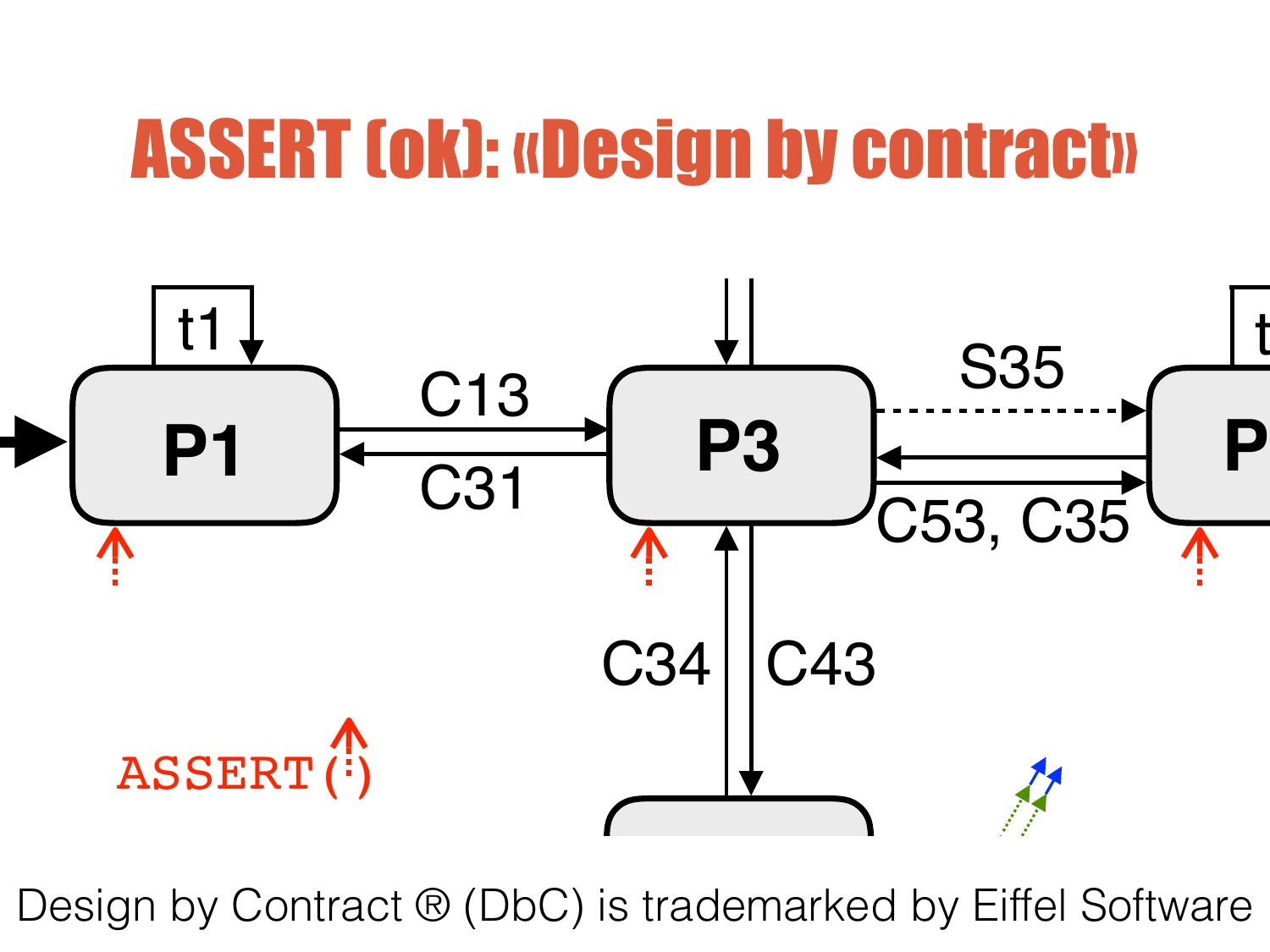#### ASSERT (ok): «Design by contract» LED2



dem Design by Contract ® (DbC) is trademarked by Eiffel Software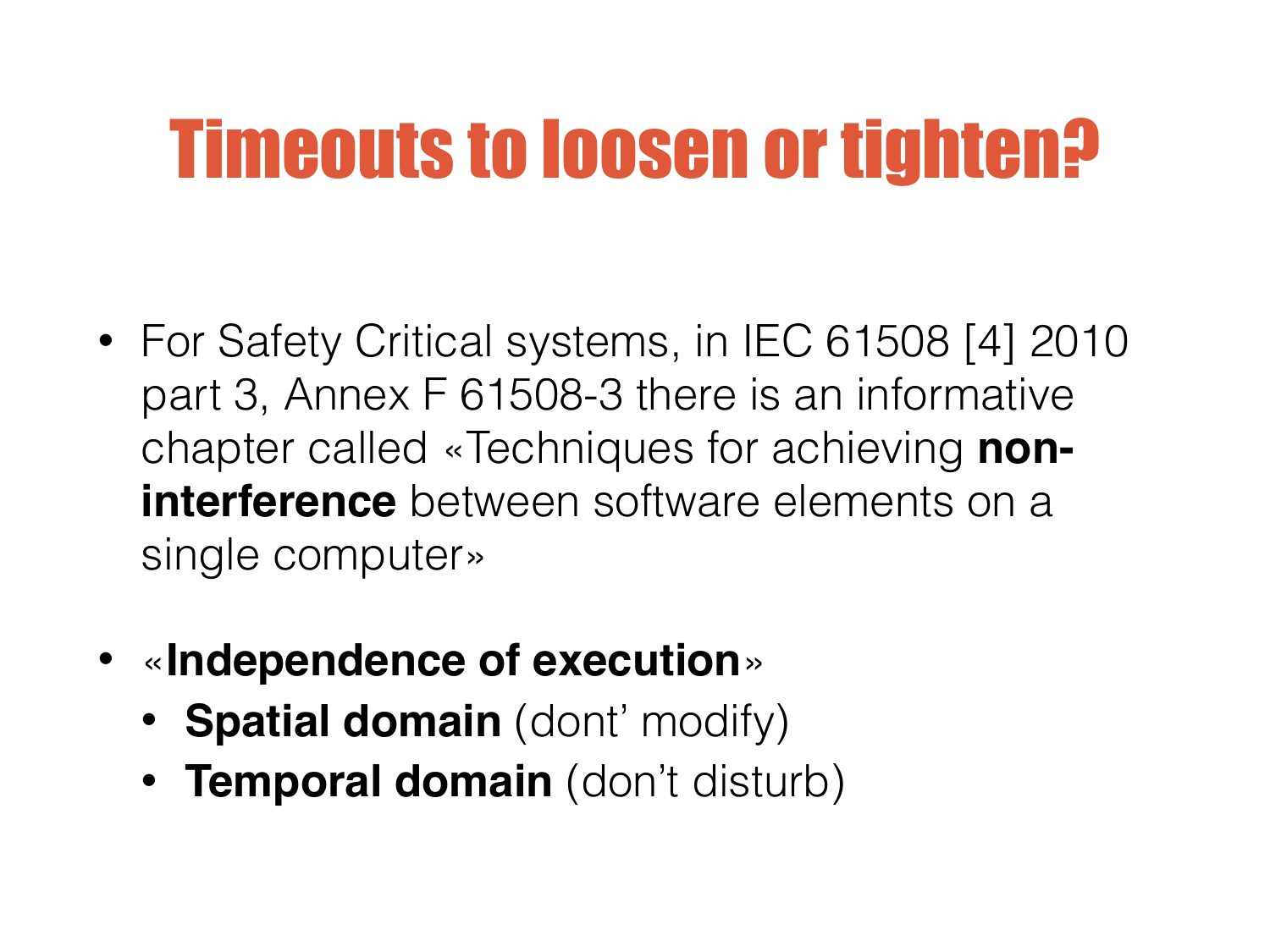### Timeouts to loosen or tighten?

- For Safety Critical systems, in IEC 61508 [4] 2010 part 3, Annex F 61508-3 there is an informative chapter called «Techniques for achieving **noninterference** between software elements on a single computer»
- «**Independence of execution**»
	- **Spatial domain** (dont' modify)
	- **Temporal domain** (don't disturb)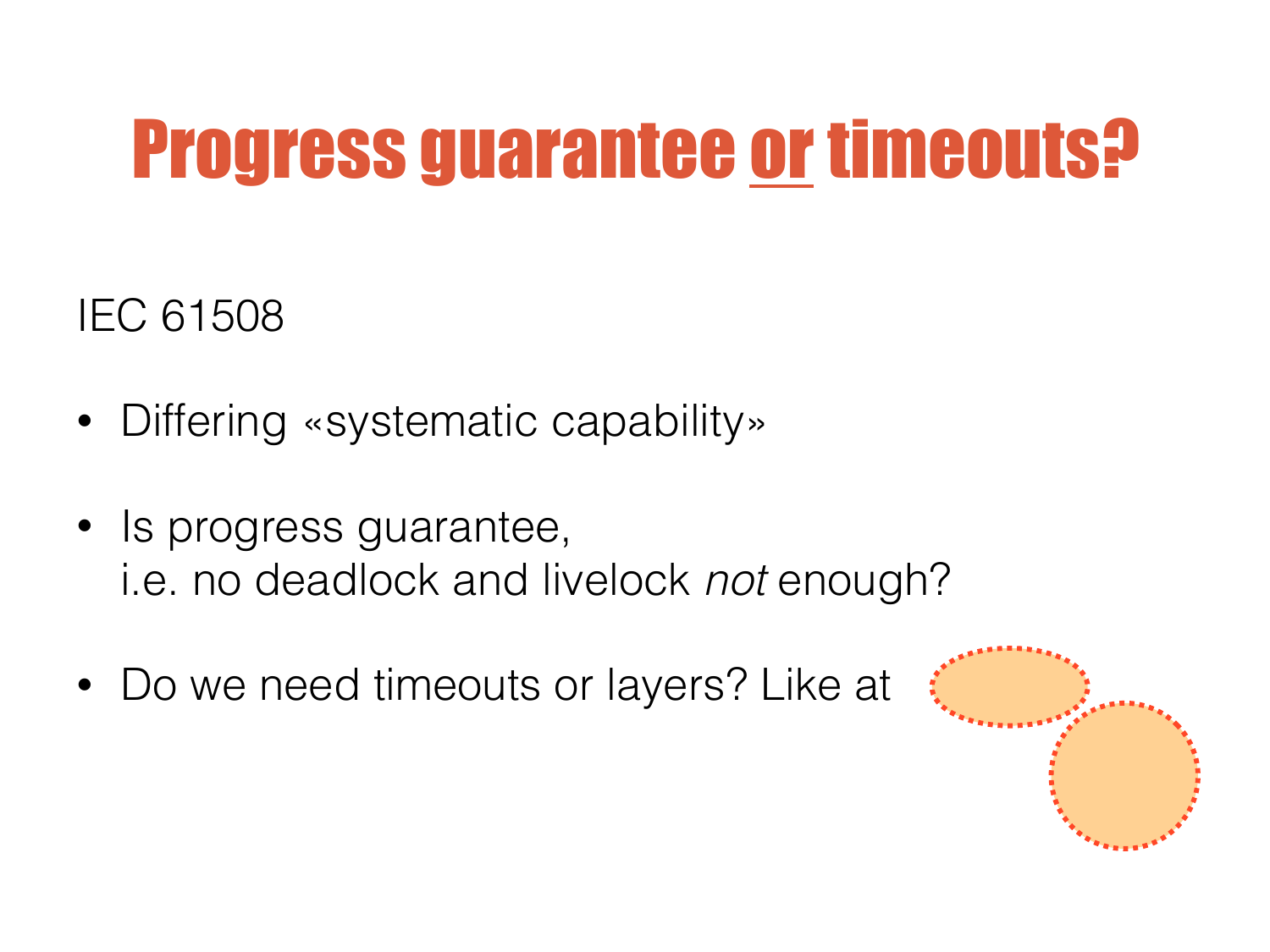### Progress guarantee or timeouts?

IEC 61508

- Differing «systematic capability»
- Is progress guarantee, i.e. no deadlock and livelock *not* enough?
- Do we need timeouts or layers? Like at

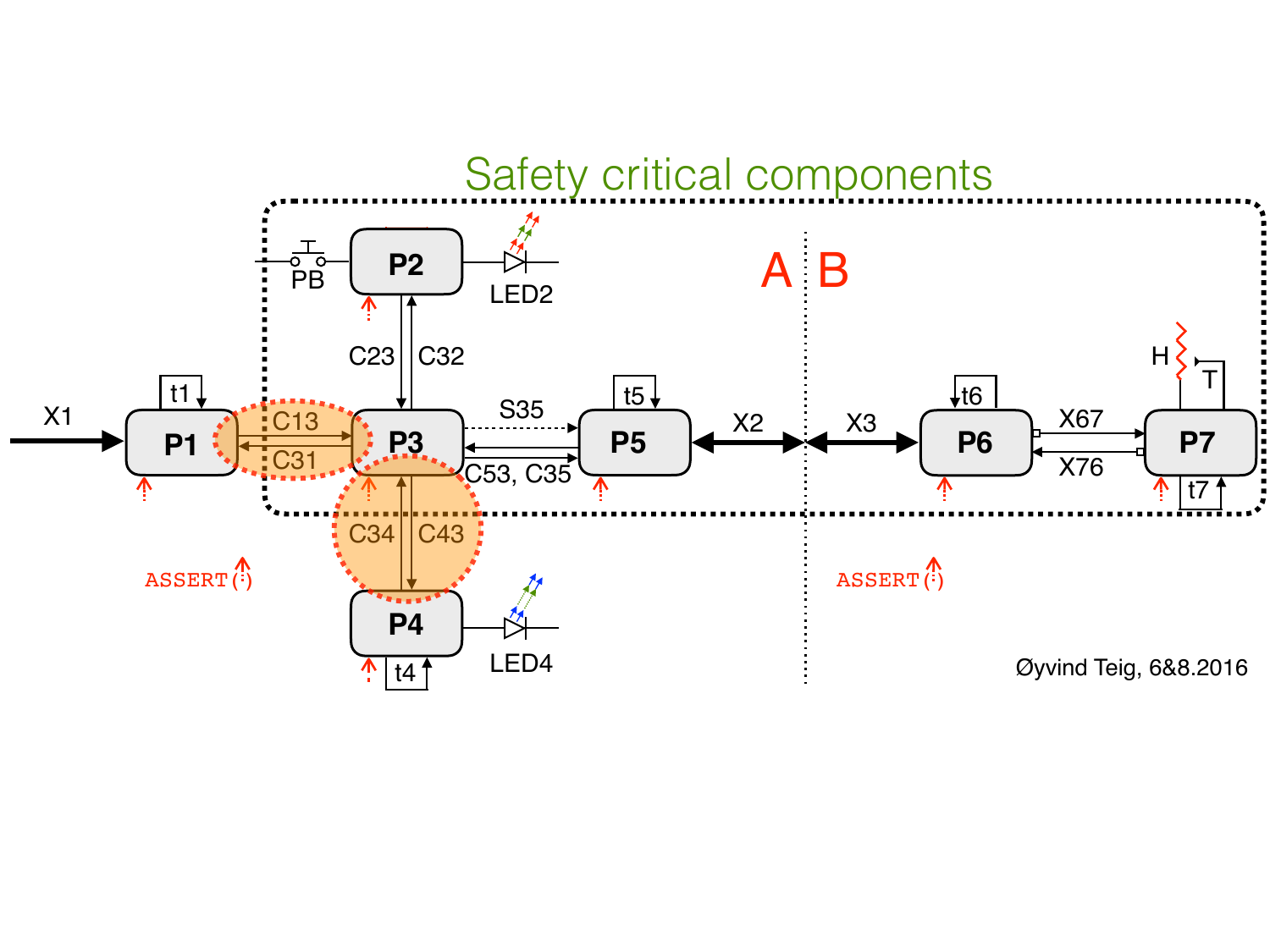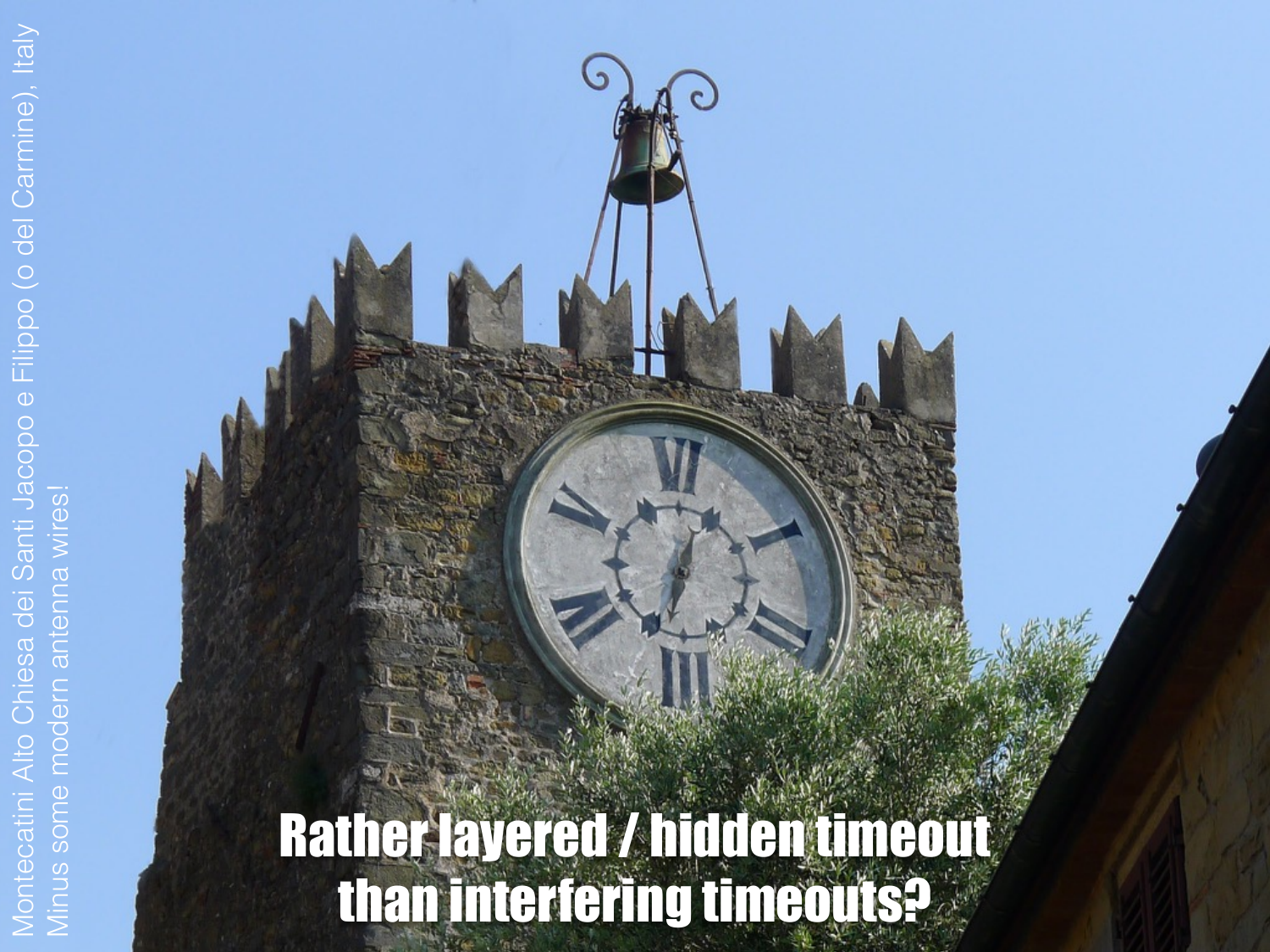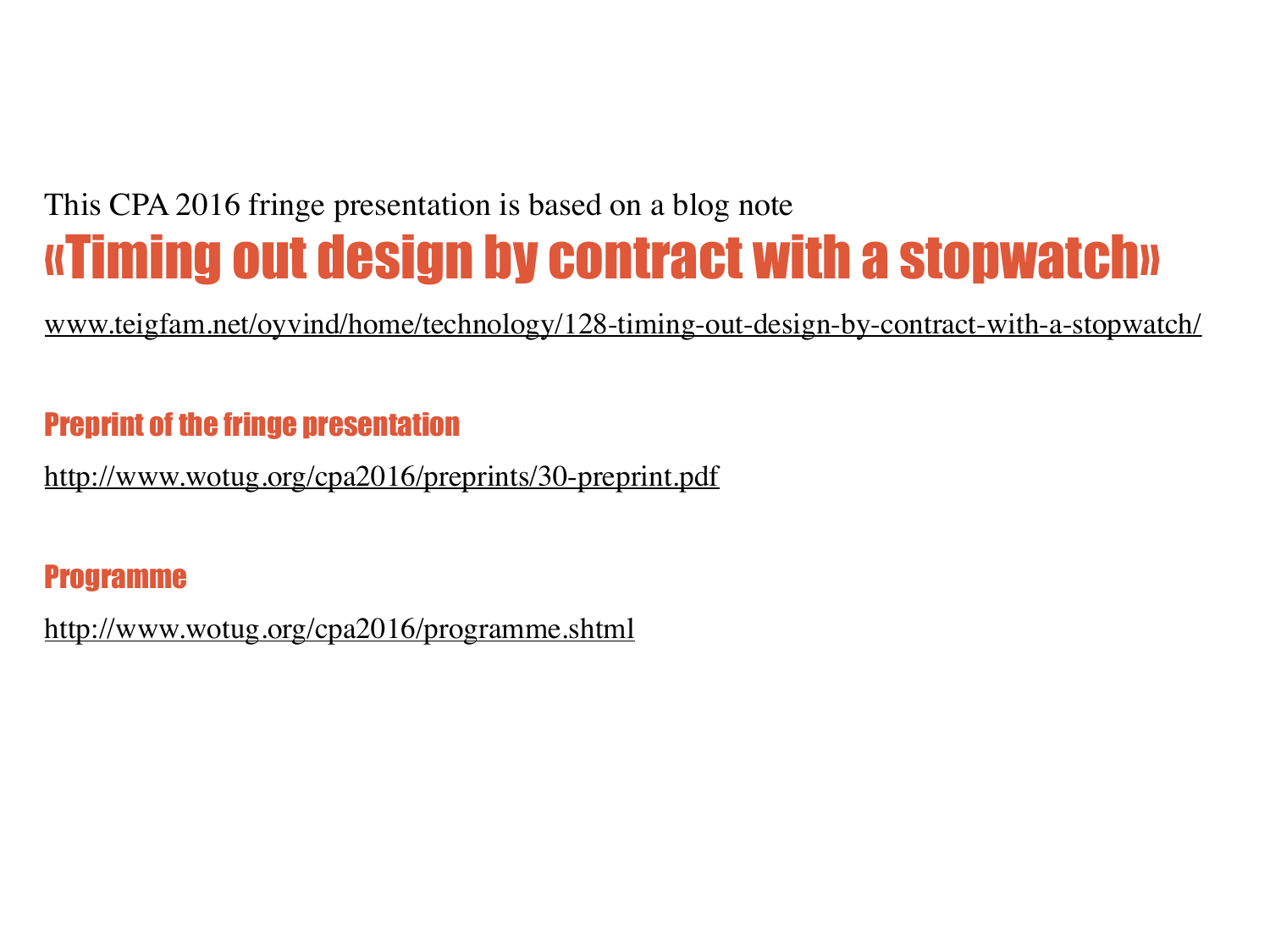#### This CPA 2016 fringe presentation is based on a blog note «Timing out design by contract with a stopwatch»

[www.teigfam.net/oyvind/home/technology/128-timing-out-design-by-contract-with-a-stopwatch/](http://www.teigfam.net/oyvind/home/technology/128-timing-out-design-by-contract-with-a-stopwatch/)

#### Preprint of the fringe presentation

<http://www.wotug.org/cpa2016/preprints/30-preprint.pdf>

#### Programme

<http://www.wotug.org/cpa2016/programme.shtml>